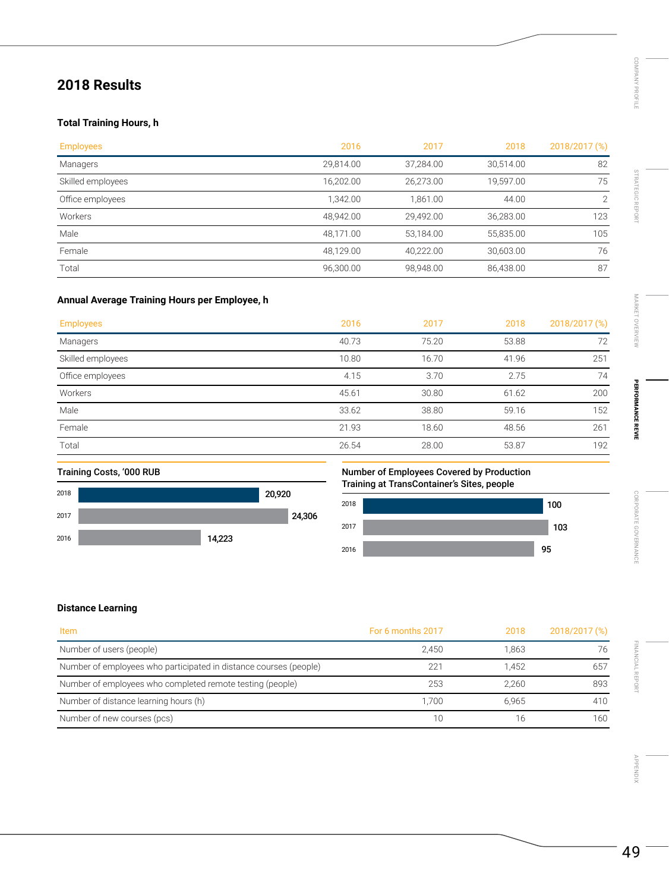# **2018 Results**

## **Total Training Hours, h**

| <b>Employees</b>  | 2016      | 2017      | 2018      | 2018/2017 (%) |
|-------------------|-----------|-----------|-----------|---------------|
| Managers          | 29,814.00 | 37,284.00 | 30,514.00 | 82            |
| Skilled employees | 16,202.00 | 26,273.00 | 19,597.00 | 75            |
| Office employees  | 1.342.00  | 1.861.00  | 44.00     | ⌒             |
| Workers           | 48.942.00 | 29.492.00 | 36,283.00 | 123           |
| Male              | 48,171.00 | 53,184.00 | 55,835.00 | 105           |
| Female            | 48.129.00 | 40.222.00 | 30,603.00 | 76            |
| Total             | 96,300.00 | 98,948.00 | 86,438.00 | 87            |

### **Annual Average Training Hours per Employee, h**

| <b>Employees</b>  | 2016  | 2017  | 2018  | 2018/2017 (%) |
|-------------------|-------|-------|-------|---------------|
| Managers          | 40.73 | 75.20 | 53.88 | 72            |
| Skilled employees | 10.80 | 16.70 | 41.96 | 251           |
| Office employees  | 4.15  | 3.70  | 2.75  | 74            |
| Workers           | 45.61 | 30.80 | 61.62 | 200           |
| Male              | 33.62 | 38.80 | 59.16 | 152           |
| Female            | 21.93 | 18.60 | 48.56 | 261           |
| Total             | 26.54 | 28.00 | 53.87 | 192           |
|                   |       |       |       |               |



### Training Costs, '000 RUB Number of Employees Covered by Production Training at TransContainer's Sites, people Number of Employees Covered by Production Training at TransContainer's Sites, people



### **Distance Learning**

| Item                                                              | For 6 months 2017 | 2018  | 2018/2017 (%) |
|-------------------------------------------------------------------|-------------------|-------|---------------|
| Number of users (people)                                          | 2.450             | 1.863 | 76            |
| Number of employees who participated in distance courses (people) | 221               | 1.452 | 657           |
| Number of employees who completed remote testing (people)         | 253               | 2.260 | 893           |
| Number of distance learning hours (h)                             | 1.700             | 6.965 | 410           |
| Number of new courses (pcs)                                       | 10                |       | 160           |

[APPENDIX](#page--1-0)

APPENDIX

[FINANCIAL REPORT](#page--1-0)

FINANCIAL REPORT